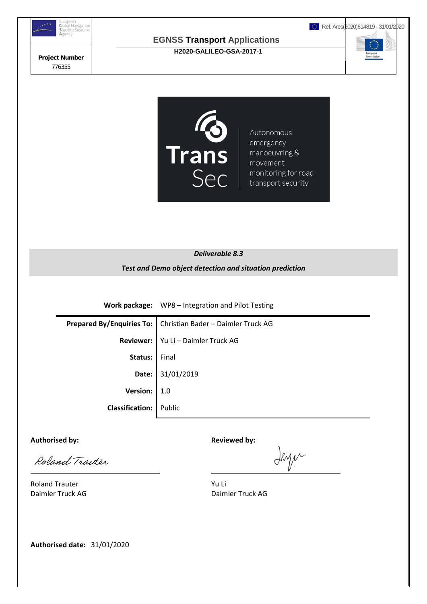



#### *Deliverable 8.3*

#### *Test and Demo object detection and situation prediction*

**Work package:** WP8 – Integration and Pilot Testing

**Prepared By/Enquiries To: |** Christian Bader – Daimler Truck AG **Reviewer:** | Yu Li – Daimler Truck AG **Status:** Final **Date:** 31/01/2019 **Version:** 1.0 **Classification:** Public

Authorised by: **Authorised by: Reviewed by: Reviewed by:** 

 $\overline{a}$ 

Roland Traiter

Inger

Roland Trauter **Yu Li** 

Daimler Truck AG Daimler Truck AG

**Authorised date:** 31/01/2020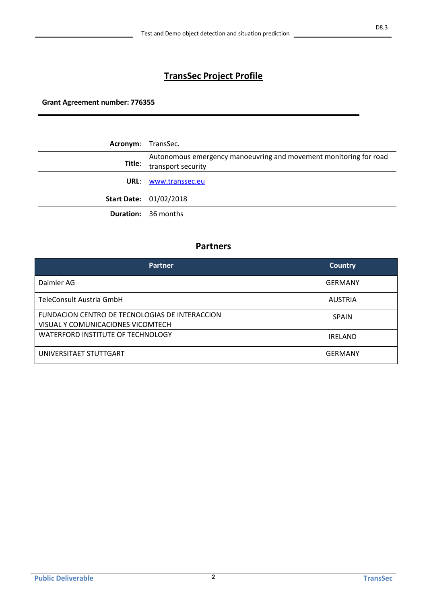# **TransSec Project Profile**

**Grant Agreement number: 776355**

| Acronym: | TransSec.                                                                               |
|----------|-----------------------------------------------------------------------------------------|
| Title:   | Autonomous emergency manoeuvring and movement monitoring for road<br>transport security |
| URL:     | www.transsec.eu                                                                         |
|          | Start Date: 01/02/2018                                                                  |
|          | <b>Duration:</b> 36 months                                                              |

## **Partners**

| <b>Partner</b>                                                                      | <b>Country</b> |
|-------------------------------------------------------------------------------------|----------------|
| Daimler AG                                                                          | GERMANY        |
| TeleConsult Austria GmbH                                                            | <b>AUSTRIA</b> |
| FUNDACION CENTRO DE TECNOLOGIAS DE INTERACCION<br>VISUAL Y COMUNICACIONES VICOMTECH | <b>SPAIN</b>   |
| WATERFORD INSTITUTE OF TECHNOLOGY                                                   | <b>IRELAND</b> |
| UNIVERSITAET STUTTGART                                                              | GERMANY        |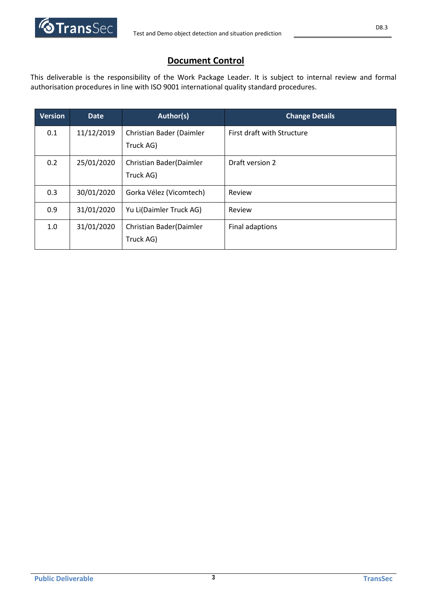

# **Document Control**

This deliverable is the responsibility of the Work Package Leader. It is subject to internal review and formal authorisation procedures in line with ISO 9001 international quality standard procedures.

| <b>Version</b> | <b>Date</b> | Author(s)                             | <b>Change Details</b>      |
|----------------|-------------|---------------------------------------|----------------------------|
| 0.1            | 11/12/2019  | Christian Bader (Daimler<br>Truck AG) | First draft with Structure |
| 0.2            | 25/01/2020  | Christian Bader(Daimler<br>Truck AG)  | Draft version 2            |
| 0.3            | 30/01/2020  | Gorka Vélez (Vicomtech)               | Review                     |
| 0.9            | 31/01/2020  | Yu Li(Daimler Truck AG)               | Review                     |
| 1.0            | 31/01/2020  | Christian Bader(Daimler<br>Truck AG)  | Final adaptions            |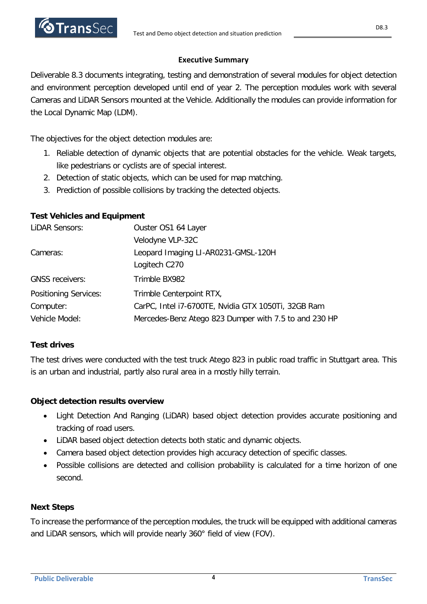### **Executive Summary**

Deliverable 8.3 documents integrating, testing and demonstration of several modules for object detection and environment perception developed until end of year 2. The perception modules work with several Cameras and LiDAR Sensors mounted at the Vehicle. Additionally the modules can provide information for the Local Dynamic Map (LDM).

The objectives for the object detection modules are:

- 1. Reliable detection of dynamic objects that are potential obstacles for the vehicle. Weak targets, like pedestrians or cyclists are of special interest.
- 2. Detection of static objects, which can be used for map matching.
- 3. Prediction of possible collisions by tracking the detected objects.

## **Test Vehicles and Equipment**

| LIDAR Sensors:               | Ouster OS1 64 Layer                                   |
|------------------------------|-------------------------------------------------------|
|                              | Velodyne VLP-32C                                      |
| Cameras:                     | Leopard Imaging LI-AR0231-GMSL-120H                   |
|                              | Logitech C270                                         |
| <b>GNSS receivers:</b>       | Trimble BX982                                         |
| <b>Positioning Services:</b> | Trimble Centerpoint RTX,                              |
| Computer:                    | CarPC, Intel i7-6700TE, Nvidia GTX 1050Ti, 32GB Ram   |
| Vehicle Model:               | Mercedes-Benz Atego 823 Dumper with 7.5 to and 230 HP |

## **Test drives**

The test drives were conducted with the test truck Atego 823 in public road traffic in Stuttgart area. This is an urban and industrial, partly also rural area in a mostly hilly terrain.

## **Object detection results overview**

- Light Detection And Ranging (LiDAR) based object detection provides accurate positioning and tracking of road users.
- LiDAR based object detection detects both static and dynamic objects.
- Camera based object detection provides high accuracy detection of specific classes.
- Possible collisions are detected and collision probability is calculated for a time horizon of one second.

## **Next Steps**

To increase the performance of the perception modules, the truck will be equipped with additional cameras and LiDAR sensors, which will provide nearly 360° field of view (FOV).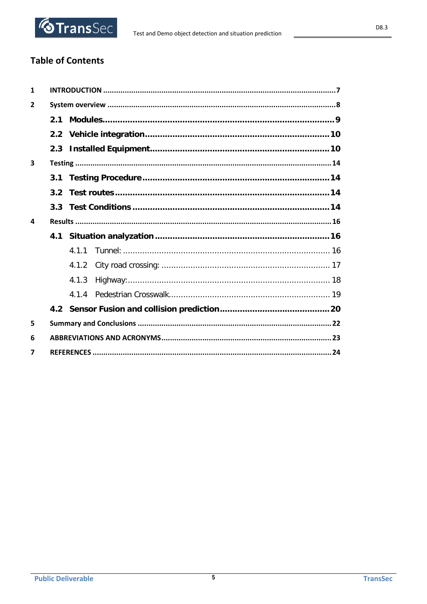

# **Table of Contents**

| $\mathbf{1}$            |     |       |  |  |
|-------------------------|-----|-------|--|--|
| $\overline{2}$          |     |       |  |  |
|                         | 2.1 |       |  |  |
|                         |     |       |  |  |
|                         |     |       |  |  |
| $\overline{\mathbf{3}}$ |     |       |  |  |
|                         |     |       |  |  |
|                         |     |       |  |  |
|                         |     |       |  |  |
| $\mathbf{A}$            |     |       |  |  |
|                         |     |       |  |  |
|                         |     |       |  |  |
|                         |     | 4.1.2 |  |  |
|                         |     | 4.1.3 |  |  |
|                         |     | 4.1.4 |  |  |
|                         |     |       |  |  |
| 5                       |     |       |  |  |
| 6                       |     |       |  |  |
| 7                       |     |       |  |  |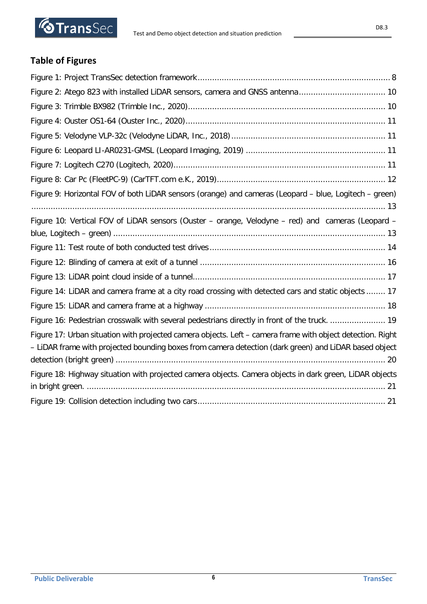

# **Table of Figures**

| Figure 9: Horizontal FOV of both LiDAR sensors (orange) and cameras (Leopard - blue, Logitech - green)                                                                                                              |
|---------------------------------------------------------------------------------------------------------------------------------------------------------------------------------------------------------------------|
| Figure 10: Vertical FOV of LiDAR sensors (Ouster - orange, Velodyne - red) and cameras (Leopard -                                                                                                                   |
|                                                                                                                                                                                                                     |
|                                                                                                                                                                                                                     |
|                                                                                                                                                                                                                     |
| Figure 14: LiDAR and camera frame at a city road crossing with detected cars and static objects  17                                                                                                                 |
|                                                                                                                                                                                                                     |
| Figure 16: Pedestrian crosswalk with several pedestrians directly in front of the truck.  19                                                                                                                        |
| Figure 17: Urban situation with projected camera objects. Left - camera frame with object detection. Right<br>- LiDAR frame with projected bounding boxes from camera detection (dark green) and LiDAR based object |
| Figure 18: Highway situation with projected camera objects. Camera objects in dark green, LiDAR objects                                                                                                             |
|                                                                                                                                                                                                                     |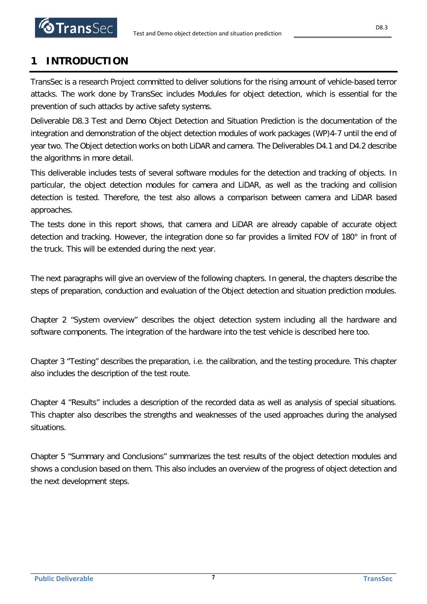# <span id="page-6-0"></span>**1 INTRODUCTION**

TransSec is a research Project committed to deliver solutions for the rising amount of vehicle-based terror attacks. The work done by TransSec includes Modules for object detection, which is essential for the prevention of such attacks by active safety systems.

Deliverable D8.3 Test and Demo Object Detection and Situation Prediction is the documentation of the integration and demonstration of the object detection modules of work packages (WP)4-7 until the end of year two. The Object detection works on both LiDAR and camera. The Deliverables D4.1 and D4.2 describe the algorithms in more detail.

This deliverable includes tests of several software modules for the detection and tracking of objects. In particular, the object detection modules for camera and LiDAR, as well as the tracking and collision detection is tested. Therefore, the test also allows a comparison between camera and LiDAR based approaches.

The tests done in this report shows, that camera and LiDAR are already capable of accurate object detection and tracking. However, the integration done so far provides a limited FOV of 180° in front of the truck. This will be extended during the next year.

The next paragraphs will give an overview of the following chapters. In general, the chapters describe the steps of preparation, conduction and evaluation of the Object detection and situation prediction modules.

Chapter 2 "System overview" describes the object detection system including all the hardware and software components. The integration of the hardware into the test vehicle is described here too.

Chapter 3 "Testing" describes the preparation, i.e. the calibration, and the testing procedure. This chapter also includes the description of the test route.

Chapter 4 "Results" includes a description of the recorded data as well as analysis of special situations. This chapter also describes the strengths and weaknesses of the used approaches during the analysed situations.

Chapter 5 "Summary and Conclusions" summarizes the test results of the object detection modules and shows a conclusion based on them. This also includes an overview of the progress of object detection and the next development steps.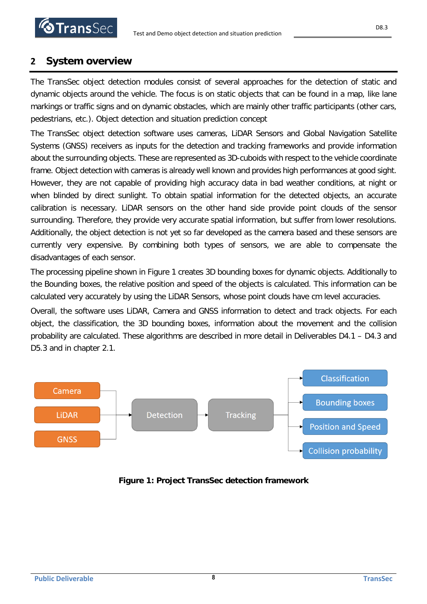# <span id="page-7-0"></span>**2 System overview**

The TransSec object detection modules consist of several approaches for the detection of static and dynamic objects around the vehicle. The focus is on static objects that can be found in a map, like lane markings or traffic signs and on dynamic obstacles, which are mainly other traffic participants (other cars, pedestrians, etc.). Object detection and situation prediction concept

The TransSec object detection software uses cameras, LiDAR Sensors and Global Navigation Satellite Systems (GNSS) receivers as inputs for the detection and tracking frameworks and provide information about the surrounding objects. These are represented as 3D-cuboids with respect to the vehicle coordinate frame. Object detection with cameras is already well known and provides high performances at good sight. However, they are not capable of providing high accuracy data in bad weather conditions, at night or when blinded by direct sunlight. To obtain spatial information for the detected objects, an accurate calibration is necessary. LiDAR sensors on the other hand side provide point clouds of the sensor surrounding. Therefore, they provide very accurate spatial information, but suffer from lower resolutions. Additionally, the object detection is not yet so far developed as the camera based and these sensors are currently very expensive. By combining both types of sensors, we are able to compensate the disadvantages of each sensor.

The processing pipeline shown in [Figure 1](#page-7-1) creates 3D bounding boxes for dynamic objects. Additionally to the Bounding boxes, the relative position and speed of the objects is calculated. This information can be calculated very accurately by using the LiDAR Sensors, whose point clouds have cm level accuracies.

Overall, the software uses LiDAR, Camera and GNSS information to detect and track objects. For each object, the classification, the 3D bounding boxes, information about the movement and the collision probability are calculated. These algorithms are described in more detail in Deliverables D4.1 – D4.3 and D5.3 and in chapter [2.1.](#page-8-0)



<span id="page-7-1"></span>**Figure 1: Project TransSec detection framework**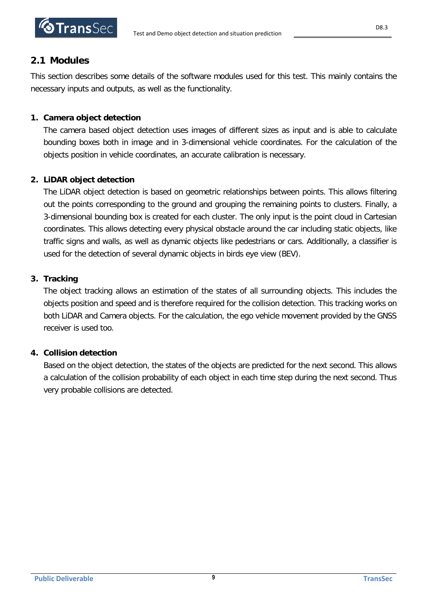

# <span id="page-8-0"></span>**2.1 Modules**

This section describes some details of the software modules used for this test. This mainly contains the necessary inputs and outputs, as well as the functionality.

## **1. Camera object detection**

The camera based object detection uses images of different sizes as input and is able to calculate bounding boxes both in image and in 3-dimensional vehicle coordinates. For the calculation of the objects position in vehicle coordinates, an accurate calibration is necessary.

## **2. LiDAR object detection**

The LiDAR object detection is based on geometric relationships between points. This allows filtering out the points corresponding to the ground and grouping the remaining points to clusters. Finally, a 3-dimensional bounding box is created for each cluster. The only input is the point cloud in Cartesian coordinates. This allows detecting every physical obstacle around the car including static objects, like traffic signs and walls, as well as dynamic objects like pedestrians or cars. Additionally, a classifier is used for the detection of several dynamic objects in birds eye view (BEV).

## **3. Tracking**

The object tracking allows an estimation of the states of all surrounding objects. This includes the objects position and speed and is therefore required for the collision detection. This tracking works on both LiDAR and Camera objects. For the calculation, the ego vehicle movement provided by the GNSS receiver is used too.

## **4. Collision detection**

Based on the object detection, the states of the objects are predicted for the next second. This allows a calculation of the collision probability of each object in each time step during the next second. Thus very probable collisions are detected.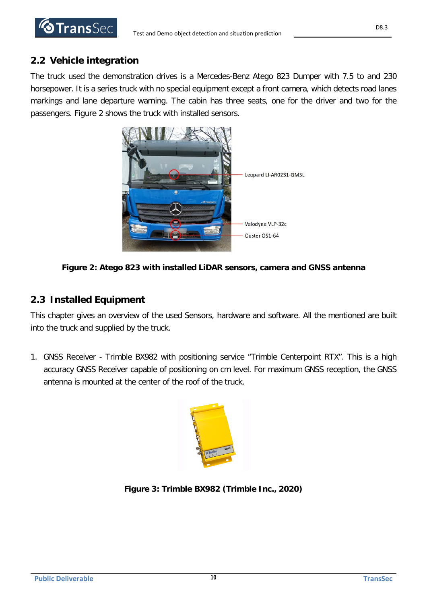

# <span id="page-9-0"></span>**2.2 Vehicle integration**

The truck used the demonstration drives is a Mercedes-Benz Atego 823 Dumper with 7.5 to and 230 horsepower. It is a series truck with no special equipment except a front camera, which detects road lanes markings and lane departure warning. The cabin has three seats, one for the driver and two for the passengers. [Figure 2](#page-9-2) shows the truck with installed sensors.



**Figure 2: Atego 823 with installed LiDAR sensors, camera and GNSS antenna**

# <span id="page-9-2"></span><span id="page-9-1"></span>**2.3 Installed Equipment**

This chapter gives an overview of the used Sensors, hardware and software. All the mentioned are built into the truck and supplied by the truck.

1. GNSS Receiver - Trimble BX982 with positioning service "Trimble Centerpoint RTX". This is a high accuracy GNSS Receiver capable of positioning on cm level. For maximum GNSS reception, the GNSS antenna is mounted at the center of the roof of the truck.



**Figure 3: Trimble BX982 (Trimble Inc., 2020)**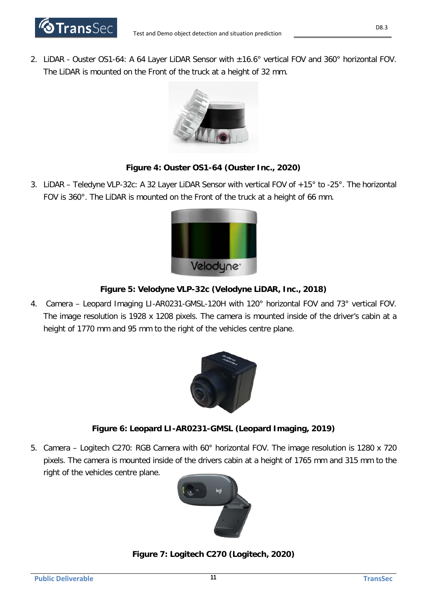

2. LiDAR - Ouster OS1-64: A 64 Layer LiDAR Sensor with ±16.6° vertical FOV and 360° horizontal FOV. The LiDAR is mounted on the Front of the truck at a height of 32 mm.



### **Figure 4: Ouster OS1-64 (Ouster Inc., 2020)**

3. LiDAR – Teledyne VLP-32c: A 32 Layer LiDAR Sensor with vertical FOV of +15° to -25°. The horizontal FOV is 360°. The LiDAR is mounted on the Front of the truck at a height of 66 mm.



#### **Figure 5: Velodyne VLP-32c (Velodyne LiDAR, Inc., 2018)**

4. Camera – Leopard Imaging LI-AR0231-GMSL-120H with 120° horizontal FOV and 73° vertical FOV. The image resolution is 1928 x 1208 pixels. The camera is mounted inside of the driver's cabin at a height of 1770 mm and 95 mm to the right of the vehicles centre plane.



#### **Figure 6: Leopard LI-AR0231-GMSL (Leopard Imaging, 2019)**

5. Camera – Logitech C270: RGB Camera with 60° horizontal FOV. The image resolution is 1280 x 720 pixels. The camera is mounted inside of the drivers cabin at a height of 1765 mm and 315 mm to the right of the vehicles centre plane.



### **Figure 7: Logitech C270 (Logitech, 2020)**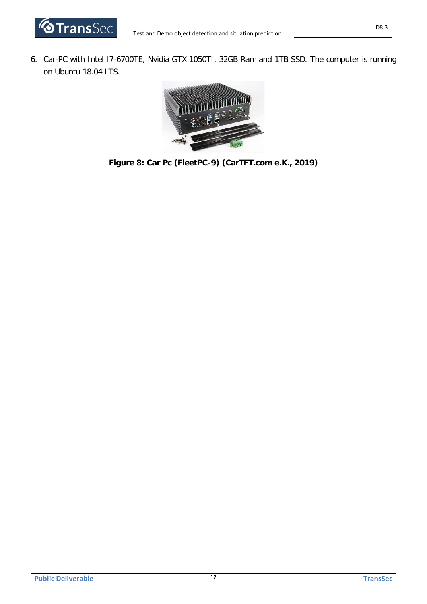

6. Car-PC with Intel I7-6700TE, Nvidia GTX 1050TI, 32GB Ram and 1TB SSD. The computer is running on Ubuntu 18.04 LTS.



**Figure 8: Car Pc (FleetPC-9) (CarTFT.com e.K., 2019)**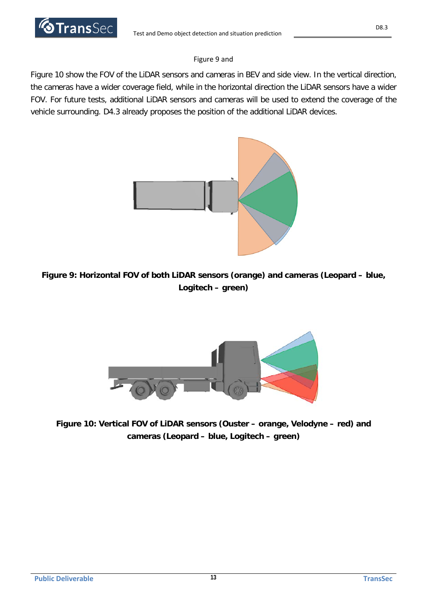

### [Figure 9](#page-12-0) an[d](#page-12-2)

[Figure 10](#page-12-2) show the FOV of the LiDAR sensors and cameras in BEV and side view. In the vertical direction, the cameras have a wider coverage field, while in the horizontal direction the LiDAR sensors have a wider FOV. For future tests, additional LiDAR sensors and cameras will be used to extend the coverage of the vehicle surrounding. D4.3 already proposes the position of the additional LiDAR devices.



**Figure 9: Horizontal FOV of both LiDAR sensors (orange) and cameras (Leopard – blue, Logitech – green)**

<span id="page-12-2"></span><span id="page-12-0"></span>

<span id="page-12-1"></span>**Figure 10: Vertical FOV of LiDAR sensors (Ouster – orange, Velodyne – red) and cameras (Leopard – blue, Logitech – green)**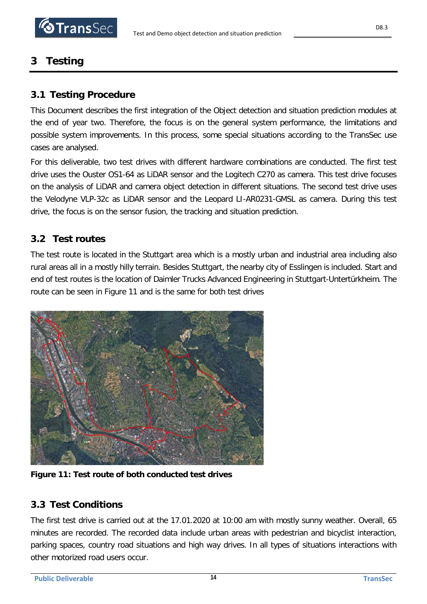# <span id="page-13-0"></span>**3 Testing**

# <span id="page-13-1"></span>**3.1 Testing Procedure**

This Document describes the first integration of the Object detection and situation prediction modules at the end of year two. Therefore, the focus is on the general system performance, the limitations and possible system improvements. In this process, some special situations according to the TransSec use cases are analysed.

For this deliverable, two test drives with different hardware combinations are conducted. The first test drive uses the Ouster OS1-64 as LiDAR sensor and the Logitech C270 as camera. This test drive focuses on the analysis of LiDAR and camera object detection in different situations. The second test drive uses the Velodyne VLP-32c as LiDAR sensor and the Leopard LI-AR0231-GMSL as camera. During this test drive, the focus is on the sensor fusion, the tracking and situation prediction.

# <span id="page-13-2"></span>**3.2 Test routes**

The test route is located in the Stuttgart area which is a mostly urban and industrial area including also rural areas all in a mostly hilly terrain. Besides Stuttgart, the nearby city of Esslingen is included. Start and end of test routes is the location of Daimler Trucks Advanced Engineering in Stuttgart-Untertürkheim. The route can be seen in [Figure 11](#page-13-4) and is the same for both test drives



**Figure 11: Test route of both conducted test drives**

# <span id="page-13-4"></span><span id="page-13-3"></span>**3.3 Test Conditions**

The first test drive is carried out at the 17.01.2020 at 10:00 am with mostly sunny weather. Overall, 65 minutes are recorded. The recorded data include urban areas with pedestrian and bicyclist interaction, parking spaces, country road situations and high way drives. In all types of situations interactions with other motorized road users occur.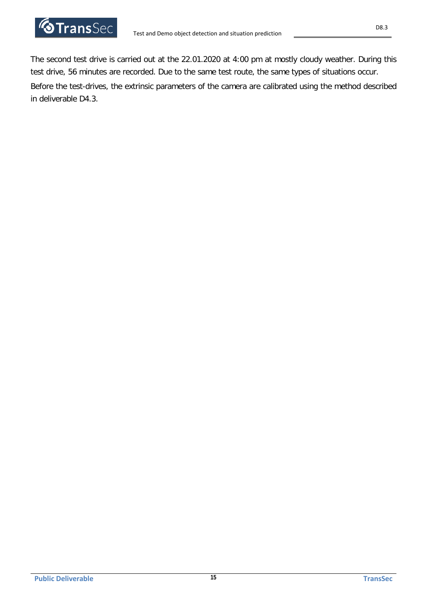

The second test drive is carried out at the 22.01.2020 at 4:00 pm at mostly cloudy weather. During this test drive, 56 minutes are recorded. Due to the same test route, the same types of situations occur. Before the test-drives, the extrinsic parameters of the camera are calibrated using the method described in deliverable D4.3.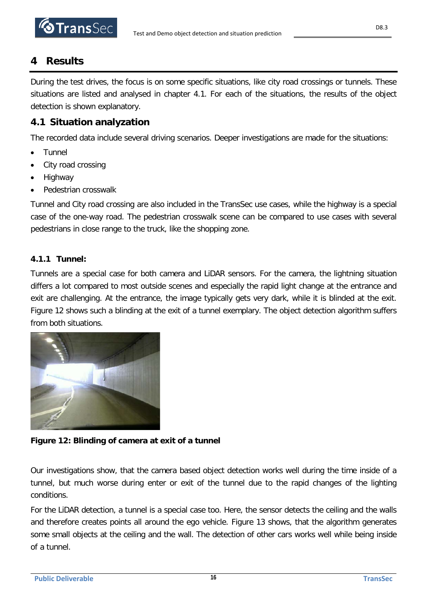# <span id="page-15-0"></span>**4 Results**

During the test drives, the focus is on some specific situations, like city road crossings or tunnels. These situations are listed and analysed in chapter [4.1.](#page-15-1) For each of the situations, the results of the object detection is shown explanatory.

# <span id="page-15-1"></span>**4.1 Situation analyzation**

The recorded data include several driving scenarios. Deeper investigations are made for the situations:

- Tunnel
- City road crossing
- Highway
- Pedestrian crosswalk

Tunnel and City road crossing are also included in the TransSec use cases, while the highway is a special case of the one-way road. The pedestrian crosswalk scene can be compared to use cases with several pedestrians in close range to the truck, like the shopping zone.

## <span id="page-15-2"></span>**4.1.1 Tunnel:**

Tunnels are a special case for both camera and LiDAR sensors. For the camera, the lightning situation differs a lot compared to most outside scenes and especially the rapid light change at the entrance and exit are challenging. At the entrance, the image typically gets very dark, while it is blinded at the exit. [Figure 12](#page-15-3) shows such a blinding at the exit of a tunnel exemplary. The object detection algorithm suffers from both situations.



**Figure 12: Blinding of camera at exit of a tunnel**

<span id="page-15-3"></span>Our investigations show, that the camera based object detection works well during the time inside of a tunnel, but much worse during enter or exit of the tunnel due to the rapid changes of the lighting conditions.

For the LiDAR detection, a tunnel is a special case too. Here, the sensor detects the ceiling and the walls and therefore creates points all around the ego vehicle. [Figure 13](#page-16-1) shows, that the algorithm generates some small objects at the ceiling and the wall. The detection of other cars works well while being inside of a tunnel.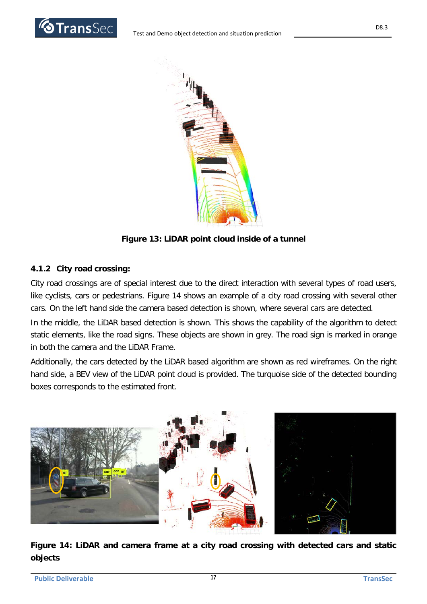



**Figure 13: LiDAR point cloud inside of a tunnel**

## <span id="page-16-1"></span><span id="page-16-0"></span>**4.1.2 City road crossing:**

City road crossings are of special interest due to the direct interaction with several types of road users, like cyclists, cars or pedestrians. [Figure 14](#page-16-2) shows an example of a city road crossing with several other cars. On the left hand side the camera based detection is shown, where several cars are detected.

In the middle, the LiDAR based detection is shown. This shows the capability of the algorithm to detect static elements, like the road signs. These objects are shown in grey. The road sign is marked in orange in both the camera and the LiDAR Frame.

Additionally, the cars detected by the LiDAR based algorithm are shown as red wireframes. On the right hand side, a BEV view of the LiDAR point cloud is provided. The turquoise side of the detected bounding boxes corresponds to the estimated front.



<span id="page-16-2"></span>**Figure 14: LiDAR and camera frame at a city road crossing with detected cars and static objects**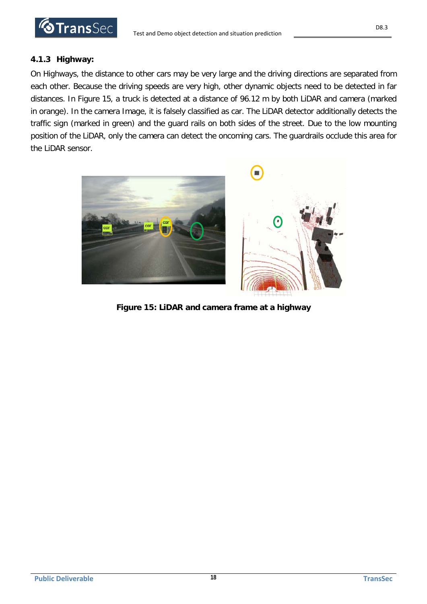

#### <span id="page-17-0"></span>**4.1.3 Highway:**

On Highways, the distance to other cars may be very large and the driving directions are separated from each other. Because the driving speeds are very high, other dynamic objects need to be detected in far distances. In [Figure 15,](#page-17-1) a truck is detected at a distance of 96.12 m by both LiDAR and camera (marked in orange). In the camera Image, it is falsely classified as car. The LiDAR detector additionally detects the traffic sign (marked in green) and the guard rails on both sides of the street. Due to the low mounting position of the LiDAR, only the camera can detect the oncoming cars. The guardrails occlude this area for the LiDAR sensor.

<span id="page-17-1"></span>

**Figure 15: LiDAR and camera frame at a highway**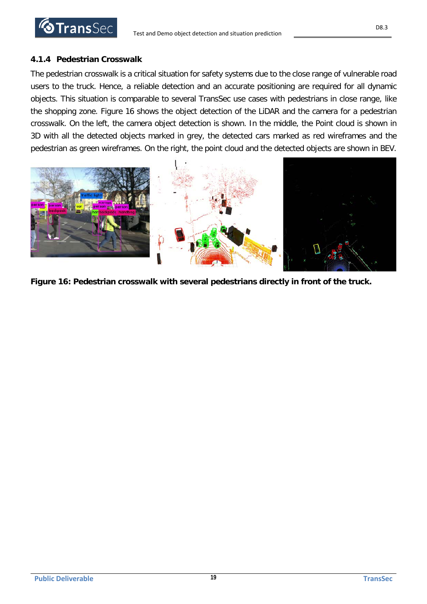

D8.3

### <span id="page-18-0"></span>**4.1.4 Pedestrian Crosswalk**

The pedestrian crosswalk is a critical situation for safety systems due to the close range of vulnerable road users to the truck. Hence, a reliable detection and an accurate positioning are required for all dynamic objects. This situation is comparable to several TransSec use cases with pedestrians in close range, like the shopping zone. [Figure 16](#page-18-1) shows the object detection of the LiDAR and the camera for a pedestrian crosswalk. On the left, the camera object detection is shown. In the middle, the Point cloud is shown in 3D with all the detected objects marked in grey, the detected cars marked as red wireframes and the pedestrian as green wireframes. On the right, the point cloud and the detected objects are shown in BEV.



<span id="page-18-1"></span>**Figure 16: Pedestrian crosswalk with several pedestrians directly in front of the truck.**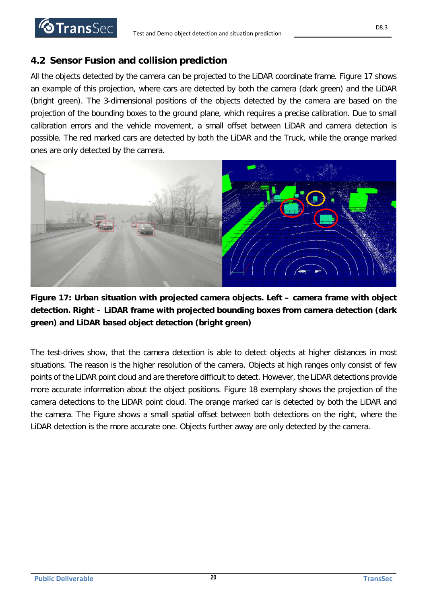

# <span id="page-19-0"></span>**4.2 Sensor Fusion and collision prediction**

All the objects detected by the camera can be projected to the LiDAR coordinate frame. [Figure 17](#page-19-1) shows an example of this projection, where cars are detected by both the camera (dark green) and the LiDAR (bright green). The 3-dimensional positions of the objects detected by the camera are based on the projection of the bounding boxes to the ground plane, which requires a precise calibration. Due to small calibration errors and the vehicle movement, a small offset between LiDAR and camera detection is possible. The red marked cars are detected by both the LiDAR and the Truck, while the orange marked ones are only detected by the camera.



<span id="page-19-1"></span>**Figure 17: Urban situation with projected camera objects. Left – camera frame with object detection. Right – LiDAR frame with projected bounding boxes from camera detection (dark green) and LiDAR based object detection (bright green)**

The test-drives show, that the camera detection is able to detect objects at higher distances in most situations. The reason is the higher resolution of the camera. Objects at high ranges only consist of few points of the LiDAR point cloud and are therefore difficult to detect. However, the LiDAR detections provide more accurate information about the object positions. [Figure 18](#page-20-0) exemplary shows the projection of the camera detections to the LiDAR point cloud. The orange marked car is detected by both the LiDAR and the camera. The Figure shows a small spatial offset between both detections on the right, where the LiDAR detection is the more accurate one. Objects further away are only detected by the camera.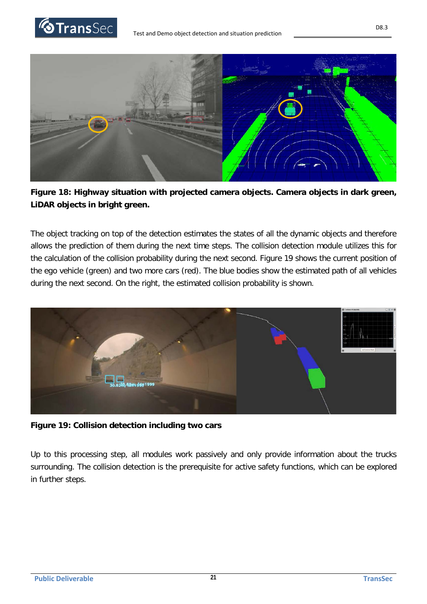





<span id="page-20-0"></span>

The object tracking on top of the detection estimates the states of all the dynamic objects and therefore allows the prediction of them during the next time steps. The collision detection module utilizes this for the calculation of the collision probability during the next second. [Figure 19](#page-20-1) shows the current position of the ego vehicle (green) and two more cars (red). The blue bodies show the estimated path of all vehicles during the next second. On the right, the estimated collision probability is shown.



**Figure 19: Collision detection including two cars**

<span id="page-20-1"></span>Up to this processing step, all modules work passively and only provide information about the trucks surrounding. The collision detection is the prerequisite for active safety functions, which can be explored in further steps.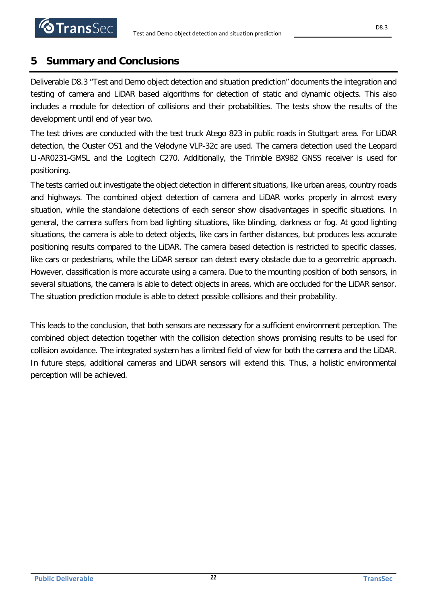# <span id="page-21-0"></span>**5 Summary and Conclusions**

**STransSec** 

Deliverable D8.3 "Test and Demo object detection and situation prediction" documents the integration and testing of camera and LiDAR based algorithms for detection of static and dynamic objects. This also includes a module for detection of collisions and their probabilities. The tests show the results of the development until end of year two.

The test drives are conducted with the test truck Atego 823 in public roads in Stuttgart area. For LiDAR detection, the Ouster OS1 and the Velodyne VLP-32c are used. The camera detection used the Leopard LI-AR0231-GMSL and the Logitech C270. Additionally, the Trimble BX982 GNSS receiver is used for positioning.

The tests carried out investigate the object detection in different situations, like urban areas, country roads and highways. The combined object detection of camera and LiDAR works properly in almost every situation, while the standalone detections of each sensor show disadvantages in specific situations. In general, the camera suffers from bad lighting situations, like blinding, darkness or fog. At good lighting situations, the camera is able to detect objects, like cars in farther distances, but produces less accurate positioning results compared to the LiDAR. The camera based detection is restricted to specific classes, like cars or pedestrians, while the LiDAR sensor can detect every obstacle due to a geometric approach. However, classification is more accurate using a camera. Due to the mounting position of both sensors, in several situations, the camera is able to detect objects in areas, which are occluded for the LiDAR sensor. The situation prediction module is able to detect possible collisions and their probability.

This leads to the conclusion, that both sensors are necessary for a sufficient environment perception. The combined object detection together with the collision detection shows promising results to be used for collision avoidance. The integrated system has a limited field of view for both the camera and the LiDAR. In future steps, additional cameras and LiDAR sensors will extend this. Thus, a holistic environmental perception will be achieved.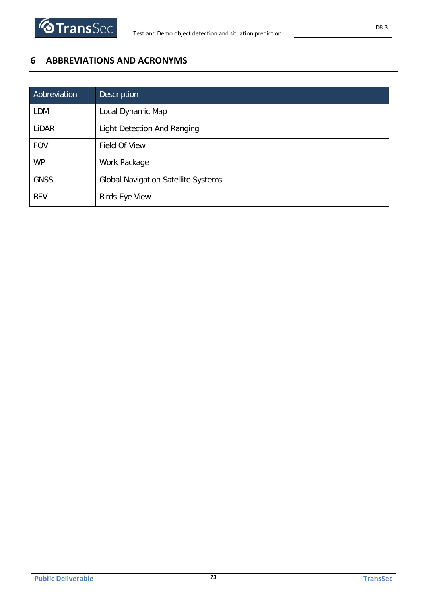# <span id="page-22-0"></span>**6 ABBREVIATIONS AND ACRONYMS**

| Abbreviation | <b>Description</b>                         |
|--------------|--------------------------------------------|
| <b>LDM</b>   | Local Dynamic Map                          |
| LiDAR        | Light Detection And Ranging                |
| <b>FOV</b>   | Field Of View                              |
| <b>WP</b>    | Work Package                               |
| <b>GNSS</b>  | <b>Global Navigation Satellite Systems</b> |
| <b>BEV</b>   | <b>Birds Eye View</b>                      |